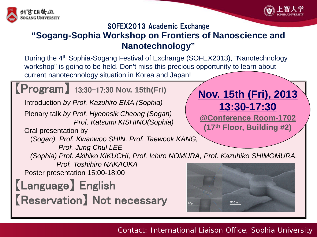



## SOFEX2013 Academic Exchange **"Sogang-Sophia Workshop on Frontiers of Nanoscience and Nanotechnology"**

During the 4th Sophia-Sogang Festival of Exchange (SOFEX2013), "Nanotechnology workshop" is going to be held. Don't miss this precious opportunity to learn about current nanotechnology situation in Korea and Japan!



Contact: International Liaison Office, Sophia University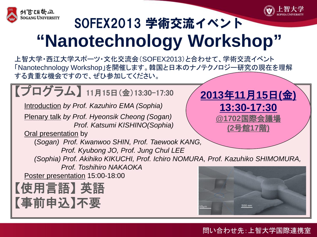



# SOFEX2013 学術交流イベント **"Nanotechnology Workshop"**

上智大学・西江大学スポーツ・文化交流会(SOFEX2013)と合わせて、学術交流イベント 「Nanotechnology Workshop」を開催します。韓国と日本のナノテクノロジー研究の現在を理解 する貴重な機会ですので、ぜひ参加してください。



### 問い合わせ先:上智大学国際連携室